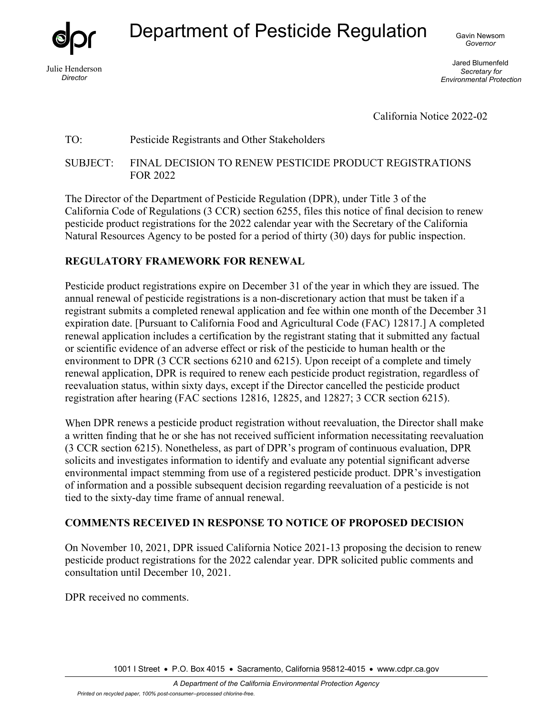Julie Henderson *Director* 

Department of Pesticide Regulation Gavin Newsom

*Governor* 

Jared Blumenfeld *Secretary for Environmental Protection* 

California Notice 2022-02

## TO: Pesticide Registrants and Other Stakeholders

SUBJECT: FINAL DECISION TO RENEW PESTICIDE PRODUCT REGISTRATIONS FOR 2022

The Director of the Department of Pesticide Regulation (DPR), under Title 3 of the California Code of Regulations (3 CCR) section 6255, files this notice of final decision to renew pesticide product registrations for the 2022 calendar year with the Secretary of the California Natural Resources Agency to be posted for a period of thirty (30) days for public inspection.

## **REGULATORY FRAMEWORK FOR RENEWAL**

Pesticide product registrations expire on December 31 of the year in which they are issued. The annual renewal of pesticide registrations is a non-discretionary action that must be taken if a registrant submits a completed renewal application and fee within one month of the December 31 expiration date. [Pursuant to California Food and Agricultural Code (FAC) 12817.] A completed renewal application includes a certification by the registrant stating that it submitted any factual or scientific evidence of an adverse effect or risk of the pesticide to human health or the environment to DPR (3 CCR sections 6210 and 6215). Upon receipt of a complete and timely renewal application, DPR is required to renew each pesticide product registration, regardless of reevaluation status, within sixty days, except if the Director cancelled the pesticide product registration after hearing (FAC sections 12816, 12825, and 12827; 3 CCR section 6215).

When DPR renews a pesticide product registration without reevaluation, the Director shall make a written finding that he or she has not received sufficient information necessitating reevaluation (3 CCR section 6215). Nonetheless, as part of DPR's program of continuous evaluation, DPR solicits and investigates information to identify and evaluate any potential significant adverse environmental impact stemming from use of a registered pesticide product. DPR's investigation of information and a possible subsequent decision regarding reevaluation of a pesticide is not tied to the sixty-day time frame of annual renewal.

## **COMMENTS RECEIVED IN RESPONSE TO NOTICE OF PROPOSED DECISION**

On November 10, 2021, DPR issued California Notice 2021-13 proposing the decision to renew pesticide product registrations for the 2022 calendar year. DPR solicited public comments and consultation until December 10, 2021.

DPR received no comments.

1001 I Street • P.O. Box 4015 • Sacramento, California 95812-4015 • www.cdpr.ca.gov